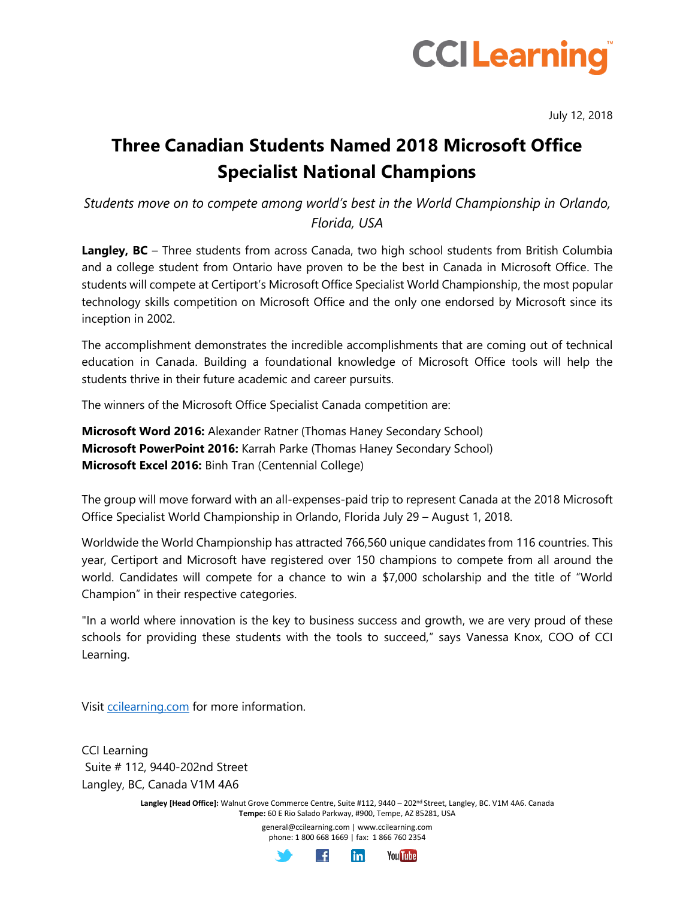

July 12, 2018

## **Three Canadian Students Named 2018 Microsoft Office Specialist National Champions**

*Students move on to compete among world's best in the World Championship in Orlando, Florida, USA*

**Langley, BC** – Three students from across Canada, two high school students from British Columbia and a college student from Ontario have proven to be the best in Canada in Microsoft Office. The students will compete at Certiport's Microsoft Office Specialist World Championship, the most popular technology skills competition on Microsoft Office and the only one endorsed by Microsoft since its inception in 2002.

The accomplishment demonstrates the incredible accomplishments that are coming out of technical education in Canada. Building a foundational knowledge of Microsoft Office tools will help the students thrive in their future academic and career pursuits.

The winners of the Microsoft Office Specialist Canada competition are:

**Microsoft Word 2016:** Alexander Ratner (Thomas Haney Secondary School) **Microsoft PowerPoint 2016:** Karrah Parke (Thomas Haney Secondary School) **Microsoft Excel 2016:** Binh Tran (Centennial College)

The group will move forward with an all-expenses-paid trip to represent Canada at the 2018 Microsoft Office Specialist World Championship in Orlando, Florida July 29 – August 1, 2018.

Worldwide the World Championship has attracted 766,560 unique candidates from 116 countries. This year, Certiport and Microsoft have registered over 150 champions to compete from all around the world. Candidates will compete for a chance to win a \$7,000 scholarship and the title of "World Champion" in their respective categories.

"In a world where innovation is the key to business success and growth, we are very proud of these schools for providing these students with the tools to succeed," says Vanessa Knox, COO of CCI Learning.

Visit [ccilearning.com](http://ccilearning.com/) for more information.

CCI Learning Suite # 112, 9440-202nd Street Langley, BC, Canada V1M 4A6

> Langley [Head Office]: Walnut Grove Commerce Centre, Suite #112, 9440 - 202<sup>nd</sup> Street, Langley, BC. V1M 4A6. Canada **Tempe:** 60 E Rio Salado Parkway, #900, Tempe, AZ 85281, USA

> > general@ccilearning.com | www.ccilearning.com phone: 1 800 668 1669 | fax: 1 866 760 2354